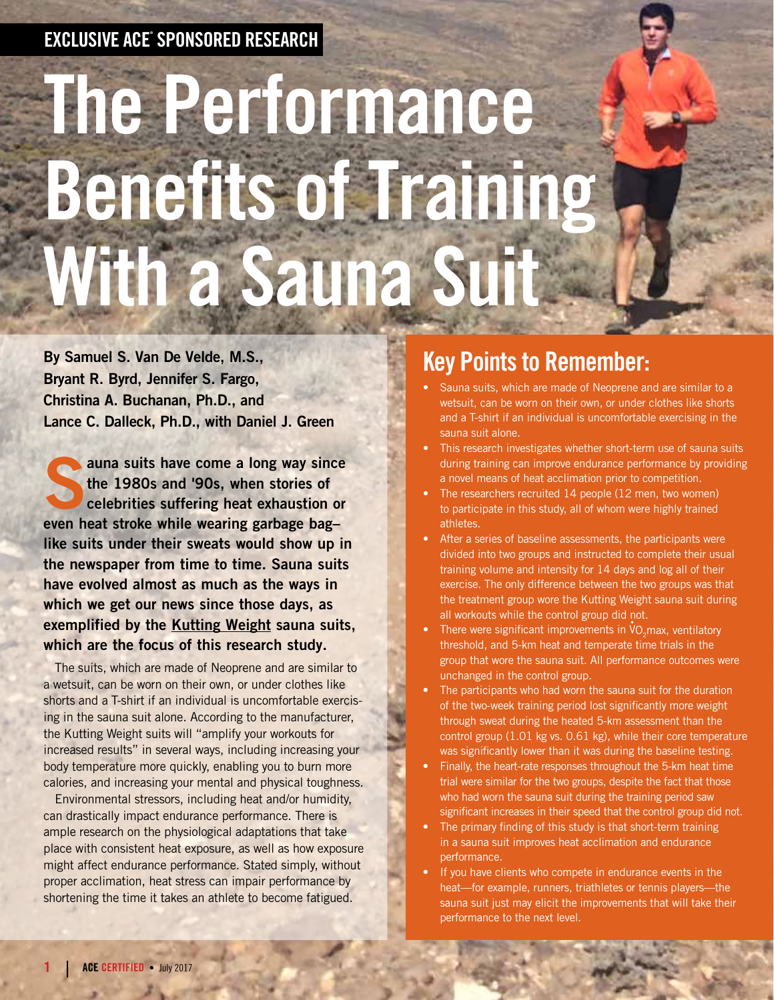#### EXCLUSIVE ACE® SPONSORED RESEARCH

# The Performance Benefits of Training With a Sauna Suit

By Samuel S. Van De Velde, M.S., Bryant R. Byrd, Jennifer S. Fargo, Christina A. Buchanan, Ph.D., and Lance C. Dalleck, Ph.D., with Daniel J. Green

auna suits have come a long way since<br>the 1980s and '90s, when stories of<br>celebrities suffering heat exhaustion or the 1980s and '90s, when stories of celebrities suffering heat exhaustion or even heat stroke while wearing garbage bag– like suits under their sweats would show up in the newspaper from time to time. Sauna suits have evolved almost as much as the ways in which we get our news since those days, as exemplified by the Kutting Weight sauna suits, which are the focus of this research study.

The suits, which are made of Neoprene and are similar to a wetsuit, can be worn on their own, or under clothes like shorts and a T-shirt if an individual is uncomfortable exercising in the sauna suit alone. According to the manufacturer, the Kutting Weight suits will "amplify your workouts for increased results" in several ways, including increasing your body temperature more quickly, enabling you to burn more calories, and increasing your mental and physical toughness.

Environmental stressors, including heat and/or humidity, can drastically impact endurance performance. There is ample research on the physiological adaptations that take place with consistent heat exposure, as well as how exposure might affect endurance performance. Stated simply, without proper acclimation, heat stress can impair performance by shortening the time it takes an athlete to become fatigued.

## Key Points to Remember:

- Sauna suits, which are made of Neoprene and are similar to a wetsuit, can be worn on their own, or under clothes like shorts and a T-shirt if an individual is uncomfortable exercising in the sauna suit alone.
- This research investigates whether short-term use of sauna suits during training can improve endurance performance by providing a novel means of heat acclimation prior to competition.
- The researchers recruited 14 people (12 men, two women) to participate in this study, all of whom were highly trained athletes.
- After a series of baseline assessments, the participants were divided into two groups and instructed to complete their usual training volume and intensity for 14 days and log all of their exercise. The only difference between the two groups was that the treatment group wore the Kutting Weight sauna suit during all workouts while the control group did not.
- There were significant improvements in  $\overline{v}_{2}$ max, ventilatory threshold, and 5-km heat and temperate time trials in the group that wore the sauna suit. All performance outcomes were unchanged in the control group.
- The participants who had worn the sauna suit for the duration of the two-week training period lost significantly more weight through sweat during the heated 5-km assessment than the control group (1.01 kg vs. 0.61 kg), while their core temperature was significantly lower than it was during the baseline testing.
- Finally, the heart-rate responses throughout the 5-km heat time trial were similar for the two groups, despite the fact that those who had worn the sauna suit during the training period saw significant increases in their speed that the control group did not.
- The primary finding of this study is that short-term training in a sauna suit improves heat acclimation and endurance performance.
- If you have clients who compete in endurance events in the heat—for example, runners, triathletes or tennis players—the sauna suit just may elicit the improvements that will take their performance to the next level.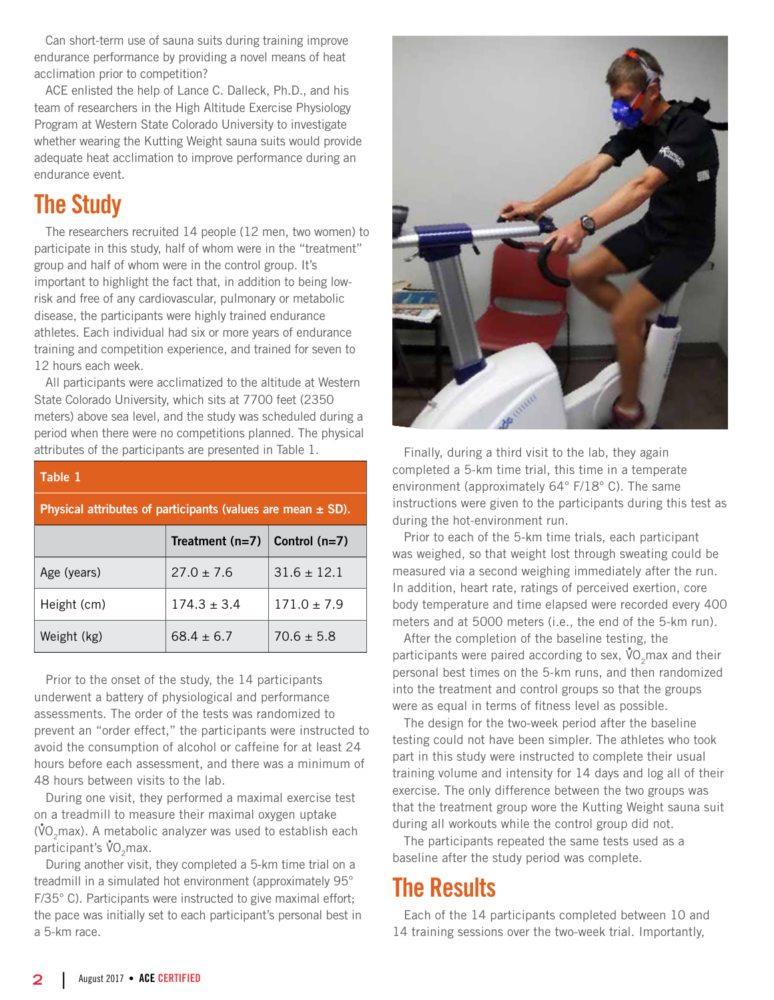Can short-term use of sauna suits during training improve endurance performance by providing a novel means of heat acclimation prior to competition?

ACE enlisted the help of Lance C. Dalleck, Ph.D., and his team of researchers in the High Altitude Exercise Physiology Program at Western State Colorado University to investigate whether wearing the Kutting Weight sauna suits would provide adequate heat acclimation to improve performance during an endurance event.

# The Study

The researchers recruited 14 people (12 men, two women) to participate in this study, half of whom were in the "treatment" group and half of whom were in the control group. It's important to highlight the fact that, in addition to being lowrisk and free of any cardiovascular, pulmonary or metabolic disease, the participants were highly trained endurance athletes. Each individual had six or more years of endurance training and competition experience, and trained for seven to 12 hours each week.

All participants were acclimatized to the altitude at Western State Colorado University, which sits at 7700 feet (2350 meters) above sea level, and the study was scheduled during a period when there were no competitions planned. The physical attributes of the participants are presented in Table 1.

| Table 1                                                         |                   |                 |  |  |  |  |
|-----------------------------------------------------------------|-------------------|-----------------|--|--|--|--|
| Physical attributes of participants (values are mean $\pm$ SD). |                   |                 |  |  |  |  |
|                                                                 | Treatment $(n=7)$ | Control $(n=7)$ |  |  |  |  |
| Age (years)                                                     | $27.0 + 7.6$      | $31.6 + 12.1$   |  |  |  |  |
| Height (cm)                                                     | $174.3 + 3.4$     | $171.0 \pm 7.9$ |  |  |  |  |
| Weight (kg)                                                     | $68.4 + 6.7$      | $70.6 + 5.8$    |  |  |  |  |

Prior to the onset of the study, the 14 participants underwent a battery of physiological and performance assessments. The order of the tests was randomized to prevent an "order effect," the participants were instructed to avoid the consumption of alcohol or caffeine for at least 24 hours before each assessment, and there was a minimum of 48 hours between visits to the lab.

During one visit, they performed a maximal exercise test on a treadmill to measure their maximal oxygen uptake ( $\rm{VO_2}$ max). A metabolic analyzer was used to establish each participant's  $\mathsf{\mathring{V}O}_{2}$ max.

During another visit, they completed a 5-km time trial on a treadmill in a simulated hot environment (approximately 95° F/35° C). Participants were instructed to give maximal effort; the pace was initially set to each participant's personal best in a 5-km race.



Finally, during a third visit to the lab, they again completed a 5-km time trial, this time in a temperate environment (approximately 64° F/18° C). The same instructions were given to the participants during this test as during the hot-environment run.

Prior to each of the 5-km time trials, each participant was weighed, so that weight lost through sweating could be measured via a second weighing immediately after the run. In addition, heart rate, ratings of perceived exertion, core body temperature and time elapsed were recorded every 400 meters and at 5000 meters (i.e., the end of the 5-km run).

After the completion of the baseline testing, the participants were paired according to sex,  $\boldsymbol{\mathring{v}}$ O<sub>2</sub>max and their personal best times on the 5-km runs, and then randomized into the treatment and control groups so that the groups were as equal in terms of fitness level as possible.

The design for the two-week period after the baseline testing could not have been simpler. The athletes who took part in this study were instructed to complete their usual training volume and intensity for 14 days and log all of their exercise. The only difference between the two groups was that the treatment group wore the Kutting Weight sauna suit during all workouts while the control group did not.

The participants repeated the same tests used as a baseline after the study period was complete.

### The Results

Each of the 14 participants completed between 10 and 14 training sessions over the two-week trial. Importantly,